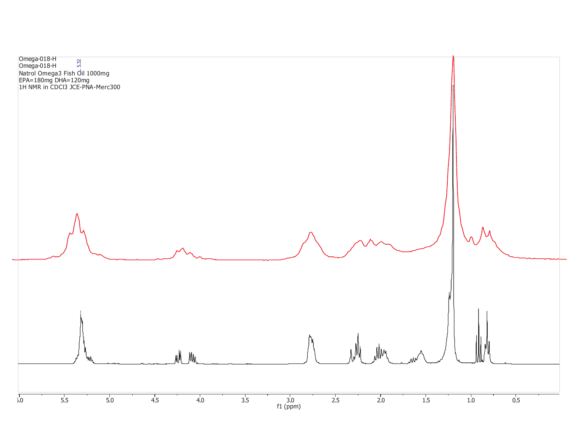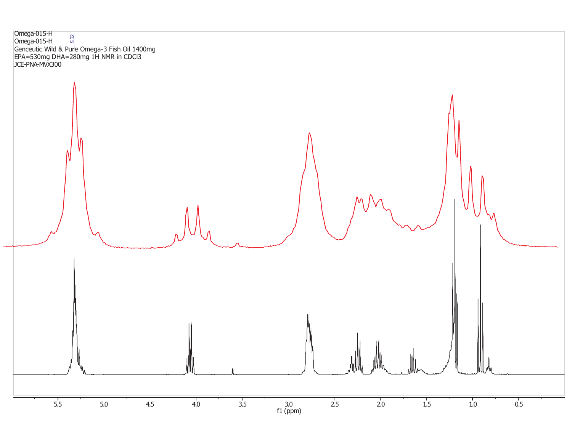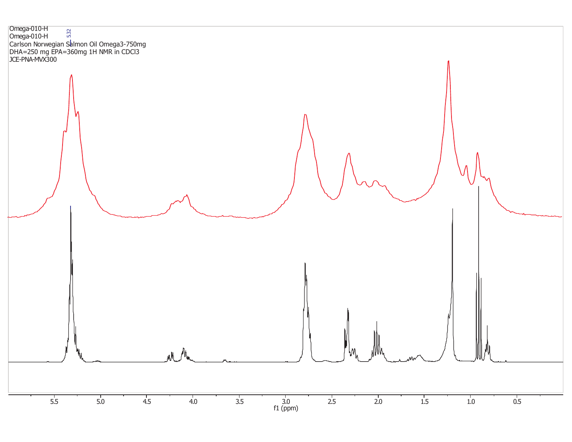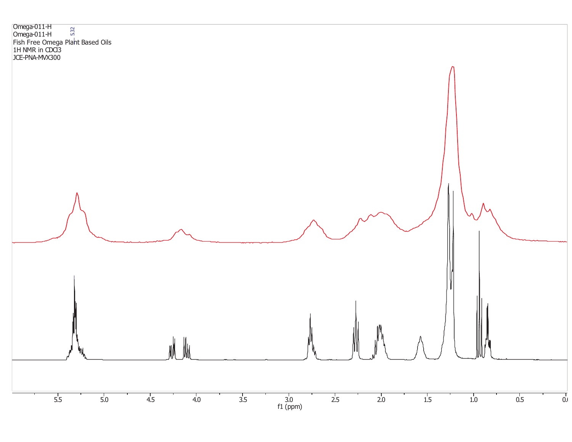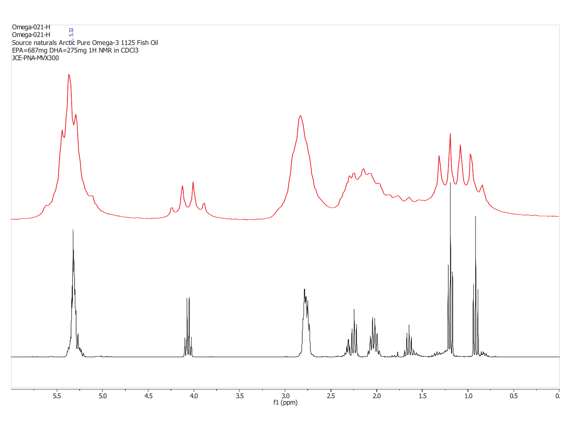5.5 5.0 4.5 4.0 3.5 3.0 2.5 2.0 1.5 1.0 0.5 0.0  $\frac{3.0}{1 \text{ (ppm)}}$ Omega-021-H Omega-021-H Source naturals Arctic Pure Omega-3 1125 Fish Oil EPA=687mg DHA=275mg 1H NMR in CDCl3 JCE-PNA-MVX300 5.32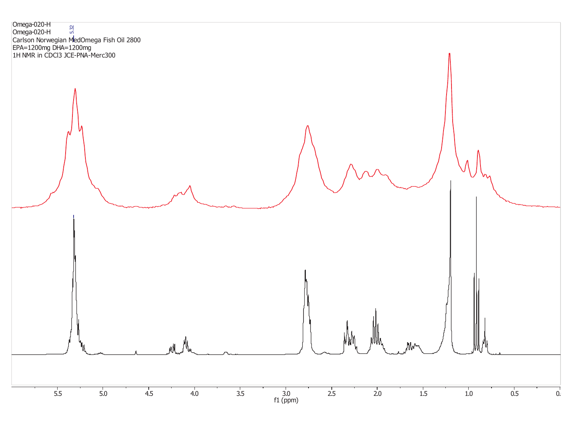Omega-020-H Omega-020-H Carlson Norwegian MedOmega Fish Oil 2800 EPA=1200mg DHA=1200mg 1H NMR in CDCl3 JCE-PNA-Merc300 5.32

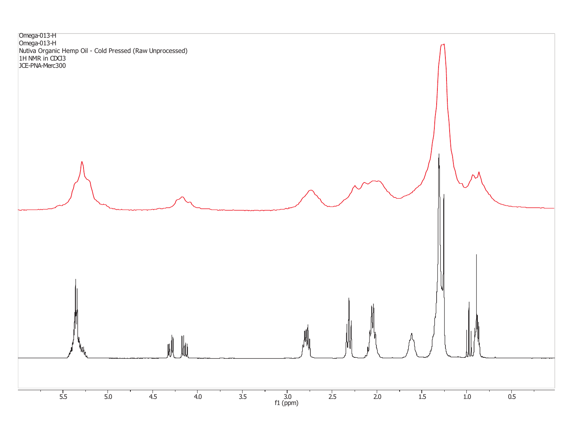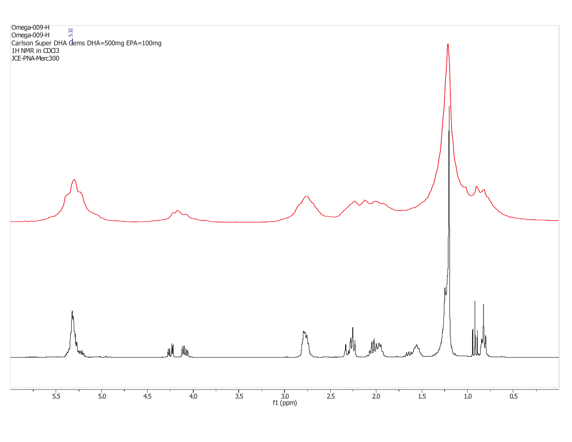